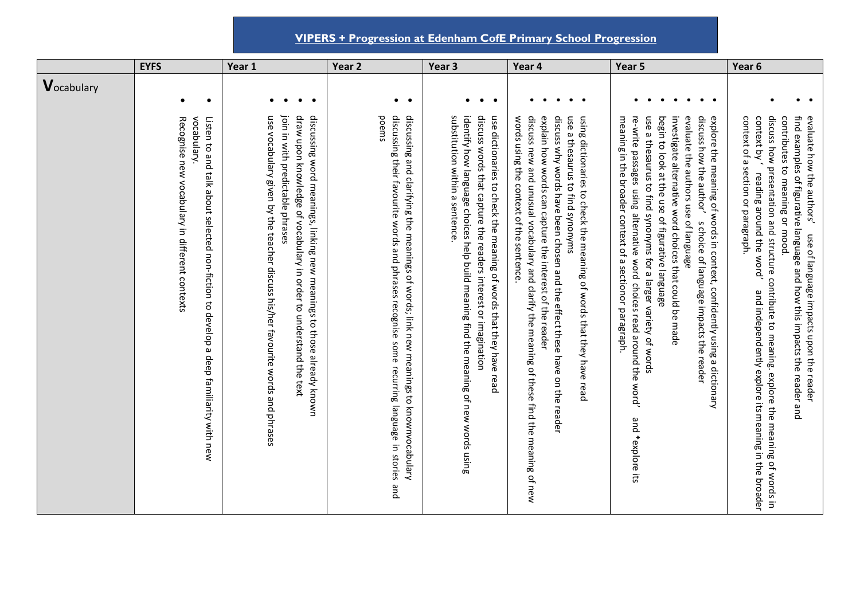**VIPERS + Progression at Edenham CofE Primary School Progression**

|                       | <b>EYFS</b>                                                                                                                                           | Year 1                                                                                                                                                                                                                                                            | Year 2                                                                                                                                                                                          | Year <sub>3</sub>                                                                                                                                                                                                                                             | Year 4                                                                                                                                                                                                                                                                                                                                                                                    | Year 5                                                                                                                                                                                                                                                                                                                                                                                                                                                                                                                               | Year 6                                                                                                                                                                                                                                                                                                                                                                                                                       |
|-----------------------|-------------------------------------------------------------------------------------------------------------------------------------------------------|-------------------------------------------------------------------------------------------------------------------------------------------------------------------------------------------------------------------------------------------------------------------|-------------------------------------------------------------------------------------------------------------------------------------------------------------------------------------------------|---------------------------------------------------------------------------------------------------------------------------------------------------------------------------------------------------------------------------------------------------------------|-------------------------------------------------------------------------------------------------------------------------------------------------------------------------------------------------------------------------------------------------------------------------------------------------------------------------------------------------------------------------------------------|--------------------------------------------------------------------------------------------------------------------------------------------------------------------------------------------------------------------------------------------------------------------------------------------------------------------------------------------------------------------------------------------------------------------------------------------------------------------------------------------------------------------------------------|------------------------------------------------------------------------------------------------------------------------------------------------------------------------------------------------------------------------------------------------------------------------------------------------------------------------------------------------------------------------------------------------------------------------------|
| $\mathbf V$ ocabulary |                                                                                                                                                       |                                                                                                                                                                                                                                                                   |                                                                                                                                                                                                 |                                                                                                                                                                                                                                                               |                                                                                                                                                                                                                                                                                                                                                                                           |                                                                                                                                                                                                                                                                                                                                                                                                                                                                                                                                      |                                                                                                                                                                                                                                                                                                                                                                                                                              |
|                       | $\bullet$<br>$\bullet$                                                                                                                                | $\bullet$<br>$\bullet$<br>$\bullet$                                                                                                                                                                                                                               | $\bullet$ $\bullet$                                                                                                                                                                             | $\bullet$<br>$\bullet$                                                                                                                                                                                                                                        | $\bullet\quad\bullet$<br>$\bullet$                                                                                                                                                                                                                                                                                                                                                        |                                                                                                                                                                                                                                                                                                                                                                                                                                                                                                                                      | $\bullet$                                                                                                                                                                                                                                                                                                                                                                                                                    |
|                       | vocabulary.<br>Listen to and talk about selected non-fiction to develop a deep familiarity with new<br>Recognise new vocabulary in different contexts | use vocabulary given by the teacher discuss his/her favourite words and phrases<br>join in Nith predictable phrases<br>draw upon knowledge of vocabulary in order to understand the text<br>discussing word meanings, linking new meanings to those already known | discussing and clarifying the meanings of words; link new meanings to knownvocabulary<br>discussing their favourite words and phrases recognise some recurring language in stories and<br>poems | schatterion within a sentence<br>identify how language choices help build meaning find the meaning of new words using<br>discuss words that capture the readers interest or imagination<br>use dictionaries to check the meaning of words that they have read | discuss why words have been chosen and the effect these have on the reader<br>words using the context of the sentence<br>discuss new and unusual vocabulary and clarify the meaning of these find the meaning of new<br>explain how words can capture the interest of the reader<br>use a thesaurus tind synonyms<br>using dictionaries to check the meaning of words that they have read | investigate alternative word choices that could be made<br>use a thesaurus to find synonyms for a larger variety of words<br>evaluate the<br>discuss how the acthor<br>explore the meaning of words in context, confidently using a dictionary<br>meaning in the broader context of a sectionor paragraph.<br>re-write passages using alternative<br>begin to look at the use of figurative language<br>authors use of language<br>s choice of language impacts the reader<br>word choices read around the word'<br>and *explore its | discuss how presentation and structure contribute to meaning. explore the meaning of words in<br>context of a section or paragraph<br>find examples of figurative language and how this impacts the reader and<br>evaluate how the authors'<br>contributes to meaning or mood<br>context by '<br>reading around the word'<br>use of language impacts upon the reader<br>and independently explore its meaning in the broader |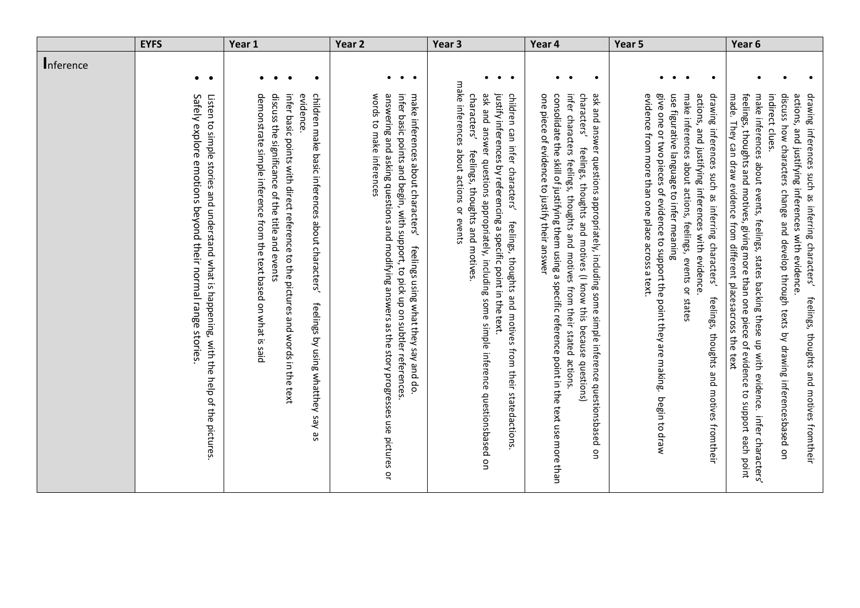|           | <b>EYFS</b>                                                                                                                                            | Year 1                                                                                                                                                                                                                                                                                                      | Year <sub>2</sub>                                                                                                                                                                                                                                                                     | Year <sub>3</sub>                                                                                                                                                                                                                                                                                                                                      | Year 4                                                                                                                                                                                                                                                                                                                                                                                                                         | Year 5                                                                                                                                                                                                                                                                                                                                                                                                         | Year <sub>6</sub>                                                                                                                                                                                                                                                                                                                                                                                                                                                                                                                        |
|-----------|--------------------------------------------------------------------------------------------------------------------------------------------------------|-------------------------------------------------------------------------------------------------------------------------------------------------------------------------------------------------------------------------------------------------------------------------------------------------------------|---------------------------------------------------------------------------------------------------------------------------------------------------------------------------------------------------------------------------------------------------------------------------------------|--------------------------------------------------------------------------------------------------------------------------------------------------------------------------------------------------------------------------------------------------------------------------------------------------------------------------------------------------------|--------------------------------------------------------------------------------------------------------------------------------------------------------------------------------------------------------------------------------------------------------------------------------------------------------------------------------------------------------------------------------------------------------------------------------|----------------------------------------------------------------------------------------------------------------------------------------------------------------------------------------------------------------------------------------------------------------------------------------------------------------------------------------------------------------------------------------------------------------|------------------------------------------------------------------------------------------------------------------------------------------------------------------------------------------------------------------------------------------------------------------------------------------------------------------------------------------------------------------------------------------------------------------------------------------------------------------------------------------------------------------------------------------|
| Inference | $\bullet\qquad\bullet$                                                                                                                                 | $\bullet$<br>$\bullet$<br>$\bullet$<br>$\bullet$                                                                                                                                                                                                                                                            | $\bullet$<br>$\bullet$ $\bullet$                                                                                                                                                                                                                                                      | $\bullet\qquad\bullet\qquad$<br>$\bullet$                                                                                                                                                                                                                                                                                                              | $\bullet$<br>$\bullet$<br>$\bullet$                                                                                                                                                                                                                                                                                                                                                                                            | $\bullet$<br>$\bullet$<br>$\bullet\quad\bullet$                                                                                                                                                                                                                                                                                                                                                                | $\bullet$<br>$\bullet$<br>$\bullet$                                                                                                                                                                                                                                                                                                                                                                                                                                                                                                      |
|           | Safely explore emotions beyond their normal range stories<br>Listen to simple stories and understand what is happening, with the help of the pictures. | demonstrate simple inference from the text based on what is saic<br>infer basic points with direct reference to the pictures and words in the text<br>children make basic inferences about characters'<br>discuss the significance of the title and events<br>evidence<br>feelings by using whatthey say as | words to make inferences<br>infer basic points and begin, with support, to pick up on subtler references.<br>answering and asking questions and modifying answers as the story progresses use pictures or<br>make inferences about characters'<br>feelings using what they say and do | make inferences about actions or events<br>characters'<br>ask and answer questions appropriately, including some simple inference questionsbased on<br>justify inferences by referencing a specific point in the text.<br>children can infer characters'<br>feelings, thoughts and motives.<br>feelings, thoughts and motives from their statedactions | one piece of evidence to justify their answer<br>infer characters feelings, thoughts and motives from their stated actions<br>characters'<br>consolidate the skill of justifying them using a specific reference point in the text use more than<br>ask and answer questions appropriately, including some simple inference questionsbased<br>feelings, thoughts and motives (I know this because questions)<br>$\overline{a}$ | use figurative language to infer meaning<br>give one or two pieces of evidence to support the point they are making.<br>make inferences about actions,<br>actions, and justifying inferences with evidence.<br>drawing inferences such as inferring characters'<br>evidence from more than one place across a text.<br>feelings, events or states<br>feelings, thoughts and motives fromtheir<br>begin to draw | made. They can draw evidence from different placesacross the text<br>indirect clues.<br>discuss how characters change and develop through texts by drawing inferencesbased on<br>actions,<br>drawing inferences such as inferring characters'<br>feelings, thoughts and motives, giving more than one piece of evidence to support each point<br>make inferences about events, feelings, states backing these up with evidence. infer characters'<br>and justifying inferences with evidence<br>feelings, thoughts and motives fromtheir |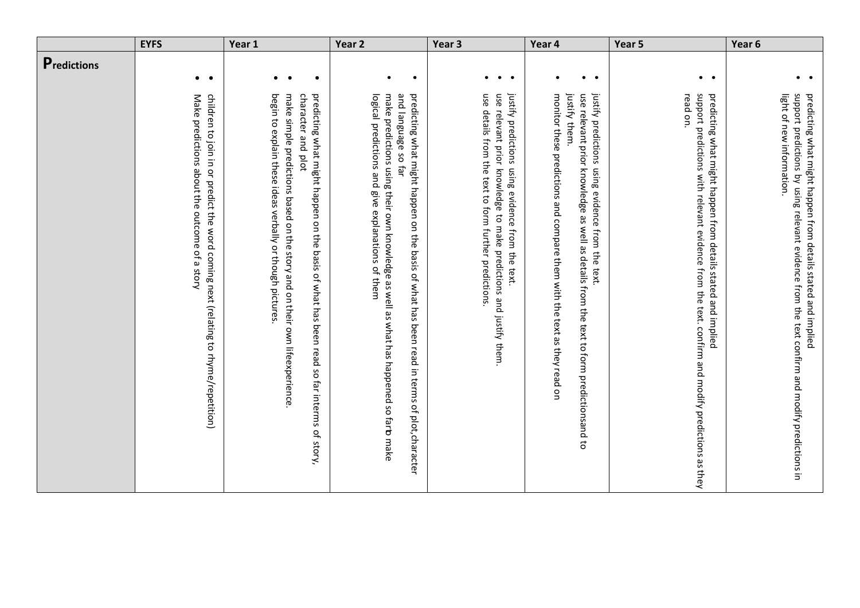|                     | <b>EYFS</b>                                                                                                                         | Year 1                                                                                                                                                                                                                                                    | Year <sub>2</sub>                                                                                                                                                                                                                                                | Year <sub>3</sub>                                                                                                                                                                       | Year 4                                                                                                                                                                                                                                    | Year 5                                                                                                                                                                          | Year 6                                                                                                                                                                                      |
|---------------------|-------------------------------------------------------------------------------------------------------------------------------------|-----------------------------------------------------------------------------------------------------------------------------------------------------------------------------------------------------------------------------------------------------------|------------------------------------------------------------------------------------------------------------------------------------------------------------------------------------------------------------------------------------------------------------------|-----------------------------------------------------------------------------------------------------------------------------------------------------------------------------------------|-------------------------------------------------------------------------------------------------------------------------------------------------------------------------------------------------------------------------------------------|---------------------------------------------------------------------------------------------------------------------------------------------------------------------------------|---------------------------------------------------------------------------------------------------------------------------------------------------------------------------------------------|
| <b>P</b> redictions | $\bullet\quad\bullet$                                                                                                               | $\bullet$<br>$\bullet$<br>$\bullet$                                                                                                                                                                                                                       | $\bullet$<br>$\bullet$                                                                                                                                                                                                                                           | $\bullet\quad\bullet\quad\bullet$                                                                                                                                                       | $\bullet\qquad\bullet$<br>$\bullet$                                                                                                                                                                                                       | $\bullet$ $\bullet$                                                                                                                                                             | $\bullet\quad\bullet$                                                                                                                                                                       |
|                     | Make predictions about the outcome of a story<br>children to join in or predict the word coming next (relating to rhyme/repetition) | begin to explain these ideas verbally or though pictures.<br>character and plot<br>predicting what might happen on the basis of what has been read so far interms of story,<br>make simple predictions based on the story and on their own lifeexperience | and language so far<br>logical predictions and give explanations of them<br>predicting what might happen on the basis of what has been read in terms of plot, character<br>make predictions using their own knowledge as well as what has happened so far b make | justify predictions using evidence from the text.<br>use details from the text to form further predictions.<br>use<br>relevant prior knowledge to<br>make predictions and justify them. | justify predictions using evidence from the text.<br>monitor these predictions and compare them with the text as they read on<br>justify them.<br>use relevant prior knowledge as well as details from the text to form predictionsand to | support predictions<br>read on.<br>predicting what might happen from details stated and implied<br>with relevant evidence from the text. confirm and modify predictions as they | support predictions by using relevant evidence from the text confirm and modify predictions in<br>light of new information.<br>predicting what might happen from details stated and implied |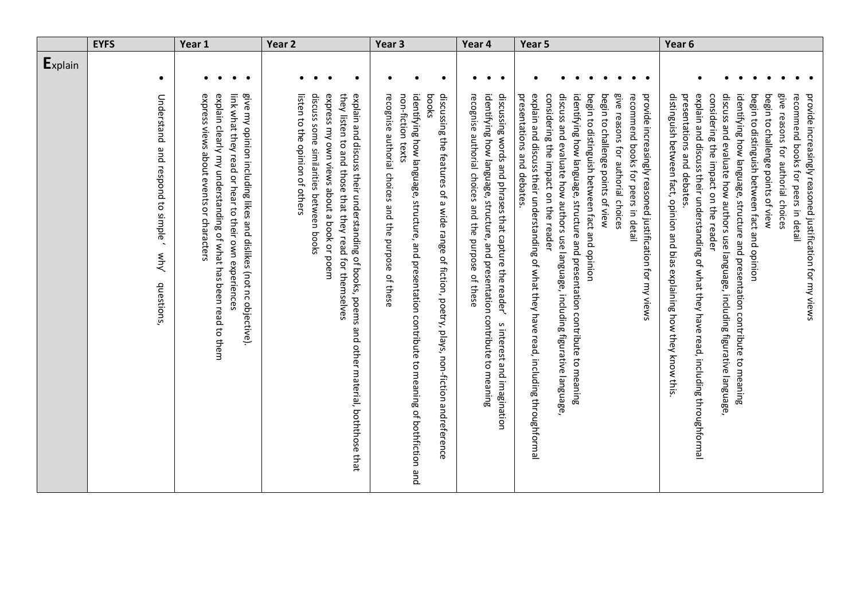|         | <b>EYFS</b>                                              | Year 1                                                                                                                                                                                                                            | Year <sub>2</sub>                                                                                                                                                                                                                                                    | Year <sub>3</sub>                                                                                                                                                                                                                                                             | Year 4                                                                                                                                                                                                                     | Year 5                                                                                                                                                                                                                                                                                                                                                                                                                                                                                                                                                     | Year 6                                                                                                                                                                                                                                                                                                                                                                                                                                                                                                                                                                                                                                 |
|---------|----------------------------------------------------------|-----------------------------------------------------------------------------------------------------------------------------------------------------------------------------------------------------------------------------------|----------------------------------------------------------------------------------------------------------------------------------------------------------------------------------------------------------------------------------------------------------------------|-------------------------------------------------------------------------------------------------------------------------------------------------------------------------------------------------------------------------------------------------------------------------------|----------------------------------------------------------------------------------------------------------------------------------------------------------------------------------------------------------------------------|------------------------------------------------------------------------------------------------------------------------------------------------------------------------------------------------------------------------------------------------------------------------------------------------------------------------------------------------------------------------------------------------------------------------------------------------------------------------------------------------------------------------------------------------------------|----------------------------------------------------------------------------------------------------------------------------------------------------------------------------------------------------------------------------------------------------------------------------------------------------------------------------------------------------------------------------------------------------------------------------------------------------------------------------------------------------------------------------------------------------------------------------------------------------------------------------------------|
| Explain | $\bullet$<br>Understand                                  | $\bullet$ $\bullet$<br>$\bullet$<br>$\bullet$                                                                                                                                                                                     | $\bullet$<br>$\bullet$<br>$\bullet$                                                                                                                                                                                                                                  | $\bullet$<br>$\bullet$<br>$\bullet$                                                                                                                                                                                                                                           | $\bullet$<br>$\bullet$<br>$\bullet$                                                                                                                                                                                        | $\bullet$<br>$\bullet$<br>$\bullet$<br>$\bullet\quad\bullet$                                                                                                                                                                                                                                                                                                                                                                                                                                                                                               | $\bullet$                                                                                                                                                                                                                                                                                                                                                                                                                                                                                                                                                                                                                              |
|         | and respond to simple<br>$rac{M}{\sqrt{2}}$<br>questions | link what they read or hear to their own experiences<br>explain clearly my understanding of what has been read to them<br>give my opinion including likes and dislikes (not nc objective).<br>express views apprire or characters | listen to the opinion of others<br>discuss some similarities between books<br>express my own views about a book or poem<br>they listen to and they read for themselves<br>explain and discuss their understanding of books, poems and other material, boththose that | identifying how language, structure, and presentation contribute to meaning of bothfiction and<br>recognise authorial choices and the purpose<br>non-fiction texts<br>discussing the features of a wide range of fiction, poetry, plays, non-fiction andreference<br>of these | identifying how language, structure, and presentation contribute to meaning<br>discussing words and phrases that capture the reader'<br>recognise authorial choices and the purpose of these<br>s interest and imagination | identifying how language, structure and presentation contribute to meaning<br>begin to distinguish between fact and opinion<br>presentations and debates.<br>explain and discuss their understanding of what they have read, including throughformal<br>considering the impact on the reader<br>discuss and evaluate how authors use language, including figurative language<br>begin to challenge points of view<br>give reasons for authorial choices<br>recommend books for peers in detail<br>provide increasingly reasoned justification for my views | distinguish between fact, opinion and bias explaining how they know this<br>explain and discuss their understanding of what they have read, including throughformal<br>discuss and evaluate how authors use language, including figurative language<br>identifying how language, structure and presentation contribute to meaning<br>begin to distinguish between fact and opinion<br>begin to challenge points of view<br>give reasons for authorial choices<br>recommend books for peers in detail<br>provide increasingly reasoned justification for my views<br>presentations and debates.<br>considering the impact on the reader |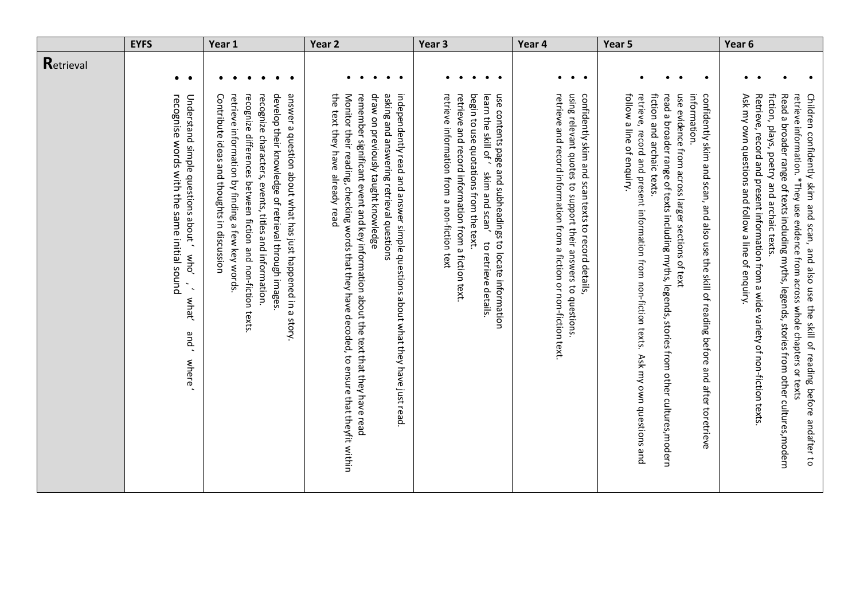|           | <b>EYFS</b>                                                                                                                                               | Year 1                                                                                                                                                                                                                                                                                                                                       | Year <sub>2</sub>                                                                                                                                                                                                                                                                                                                                                                       | Year <sub>3</sub>                                                                                                                                                                                                                                                         | Year 4                                                                                                                                                                                   | Year 5                                                                                                                                                                                                                                                                                                                                                                                                                | Year <sub>6</sub>                                                                                                                                                                                                                                                                                                                                                                                                                                               |
|-----------|-----------------------------------------------------------------------------------------------------------------------------------------------------------|----------------------------------------------------------------------------------------------------------------------------------------------------------------------------------------------------------------------------------------------------------------------------------------------------------------------------------------------|-----------------------------------------------------------------------------------------------------------------------------------------------------------------------------------------------------------------------------------------------------------------------------------------------------------------------------------------------------------------------------------------|---------------------------------------------------------------------------------------------------------------------------------------------------------------------------------------------------------------------------------------------------------------------------|------------------------------------------------------------------------------------------------------------------------------------------------------------------------------------------|-----------------------------------------------------------------------------------------------------------------------------------------------------------------------------------------------------------------------------------------------------------------------------------------------------------------------------------------------------------------------------------------------------------------------|-----------------------------------------------------------------------------------------------------------------------------------------------------------------------------------------------------------------------------------------------------------------------------------------------------------------------------------------------------------------------------------------------------------------------------------------------------------------|
| Retrieval | $\bullet\quad\bullet$                                                                                                                                     | $\bullet$<br>$\bullet$<br>$\bullet$                                                                                                                                                                                                                                                                                                          | $\bullet\qquad\bullet$<br>$\bullet$<br>$\bullet$                                                                                                                                                                                                                                                                                                                                        | $\bullet$ $\bullet$<br>$\bullet$                                                                                                                                                                                                                                          | $\bullet\quad\bullet\quad\bullet$                                                                                                                                                        | $\bullet$<br>$\bullet$<br>$\bullet$<br>$\bullet$                                                                                                                                                                                                                                                                                                                                                                      | $\bullet$<br>$\bullet$<br>$\bullet$<br>$\bullet$                                                                                                                                                                                                                                                                                                                                                                                                                |
|           | Understand simple questions about<br>recognise words with the same initial sound<br>who'<br>$\tilde{\phantom{a}}$<br>what'<br>and '<br>where <sup>'</sup> | recognize differences between fiction and non-fiction texts.<br>develop their knowledge of retrieval through images<br>answer a question about what has just happened in a story<br>retrieve information by finding a few key words.<br>recognize characters, events, titles and information.<br>Contribute ideas and thoughts in discussion | draw on previously taught knowledge<br>asking and answering retrieval questions<br>independently read and answer simple duestions about what they have just read<br>the text they have already read<br>Monitor their reading, checking words that they have decoded, to ensure that theyfit within<br>remember significant exent and key information aport the text that they have read | retrieve information from a non-fiction text<br>retrieve and record information from a fiction text.<br>begin to use quotations from the text.<br>learn the skill of<br>use contents page and subheadings to locate information<br>skim and scan'<br>to retrieve details. | using relevant quotes to support their answers to questions<br>retrieve and record information from a fiction or non-fiction text.<br>confidently skim and scan texts to record details. | fiction and archaic texts.<br>use evidence from across larger sections of text<br>information<br>confidently skim and scan, and also use the skill of reading before and after toretrieve<br>follow a line of enquiry.<br>retrieve, record and present information from non-fiction texts.<br>read a broader range of texts including myths, legends, stories from other cultures, modern<br>Ask my own questions and | Retrieve, record and present information from a wide variety of non-fiction texts<br>fiction, plays, poetry and archaic texts.<br>Read a broader range of texts including myths, legends, stories from other cultures, modern<br>retrieve information. *They use evidence from across whole chapters or texts<br>Children confidently skim and scan, and also use the skill of reading before andafter to<br>Ask my own questions and follow a line of enquiry. |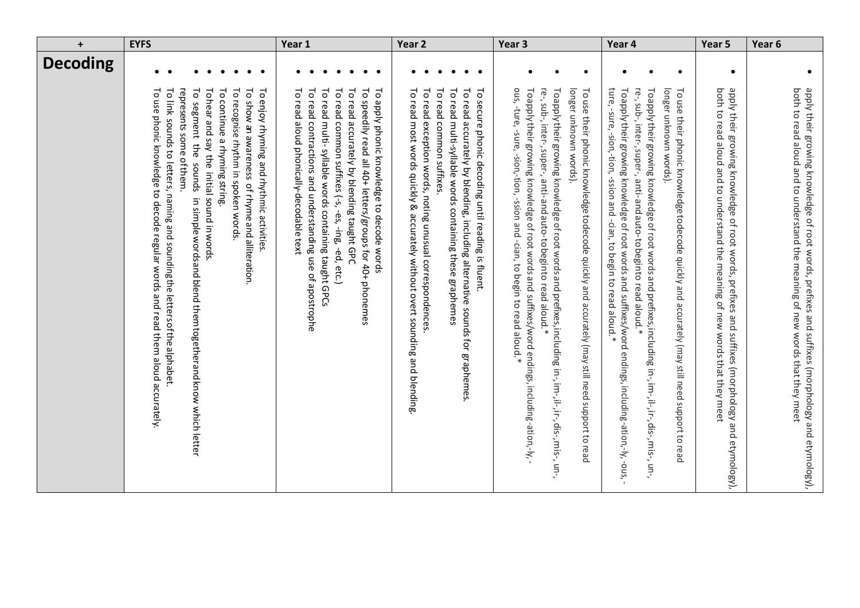| $\ddot{}$       | <b>EYFS</b>                                                                                                                                                                                                                                                                                                                                                                                                                                                                                              | Year 1                                                                                                                                                                                                                                                                                                                                                                                                           | Year <sub>2</sub>                                                                                                                                                                                                                                                                                                                                                                                          | Year <sub>3</sub>                                                                                                                                                                                                                                                                                                                                                                                                                                                                 | Year 4                                                                                                                                                                                                                                                                                                                                                                                                                                                                            | Year 5                                                                                                                                                                         | Year <sub>6</sub>                                                                                                                                                             |
|-----------------|----------------------------------------------------------------------------------------------------------------------------------------------------------------------------------------------------------------------------------------------------------------------------------------------------------------------------------------------------------------------------------------------------------------------------------------------------------------------------------------------------------|------------------------------------------------------------------------------------------------------------------------------------------------------------------------------------------------------------------------------------------------------------------------------------------------------------------------------------------------------------------------------------------------------------------|------------------------------------------------------------------------------------------------------------------------------------------------------------------------------------------------------------------------------------------------------------------------------------------------------------------------------------------------------------------------------------------------------------|-----------------------------------------------------------------------------------------------------------------------------------------------------------------------------------------------------------------------------------------------------------------------------------------------------------------------------------------------------------------------------------------------------------------------------------------------------------------------------------|-----------------------------------------------------------------------------------------------------------------------------------------------------------------------------------------------------------------------------------------------------------------------------------------------------------------------------------------------------------------------------------------------------------------------------------------------------------------------------------|--------------------------------------------------------------------------------------------------------------------------------------------------------------------------------|-------------------------------------------------------------------------------------------------------------------------------------------------------------------------------|
| <b>Decoding</b> |                                                                                                                                                                                                                                                                                                                                                                                                                                                                                                          |                                                                                                                                                                                                                                                                                                                                                                                                                  | $\bullet$<br>$\bullet$                                                                                                                                                                                                                                                                                                                                                                                     | $\bullet$<br>$\bullet$<br>$\bullet$                                                                                                                                                                                                                                                                                                                                                                                                                                               | $\bullet$<br>$\bullet$                                                                                                                                                                                                                                                                                                                                                                                                                                                            | $\bullet$                                                                                                                                                                      | $\bullet$                                                                                                                                                                     |
|                 | To continue a rhyming string.<br>To link sounds to letters, naming and sounding the letters of the alphabet.<br>To segment the sounds<br>Tohear and say the initial sound in words<br>To recognise rhythm in spoken words<br>To show an assuration of rhyme and alliteration.<br>To use phonic knowledge to decode regular words and read them aloud accurately<br>represents some of them.<br>To enjoy rhyming and rhythmic activities<br>in simple words and blend them together and know which letter | To read contractions and understanding use of apostrophe<br>$\overline{\circ}$<br>To read common suffixes (-s, -es, -ing, -ed, etc.)<br>$\overline{\circ}$<br>To speedily read all 40+ letters/groups for 40+ phonemes<br>đ<br>5<br>read aloud phonically-decodable text<br>read multi-syllable words containing taught GPCs<br>read accurately by blending taught GPC<br>apply phonic knowledge to decode words | To read<br>$\overline{c}$<br>To read multi-syllable words containing these graphemes<br>$\overline{c}$<br>ō<br>To read most words quickly & accurately without overt sounding and blending<br>read<br>read<br>secure phonic decoding until reading is fluent.<br>exception words, noting unusual correspondences<br>accurately by blending, including alternative sounds for graphemes<br>common suffixes. | re-, sub-, inter-, super-, anti-and auto-to beginto read aloud.*<br>longer unknown words).<br>ous, ture, -sure, -sion, -tion, -ssion and -cian, to begin to read aloud.*<br>Toapply their growing knowledge of root words and suffixes/word endings, including-ation,-ly,<br>To apply their growing knowledge of root words and prefixes, including in-, i.i-, dis-, mis-, un-,<br>To use their phonic knowledge to decode quickly and accurately (may still need support to read | ture, -sure, -sion, tion, -ssion and -cian, to begin to read aloud.*<br>re-, sub-, inter-, super-, anti-and auto-to beginto read aloud.*<br>longer unknown words).<br>To apply their growing knowledge of root words and suffixes/word endings, including-ation,-ly,-ous,<br>To apply their growing knowledge of root words and prefixes, including in-, i.i-, dis-, mis-, un-,<br>To use their phonic knowledge to decode quickly and accurately (may still need support to read | both to read aloud and to understand the meaning of new words that they meet<br>apply their growing knowledge of root words, prefixes and suffixes (morphology and etymology), | both to read alord and to criderate the meaning of hew words that they meet<br>apply their growing knowledge of root words, prefixes and suffixes (morphology and etymology), |